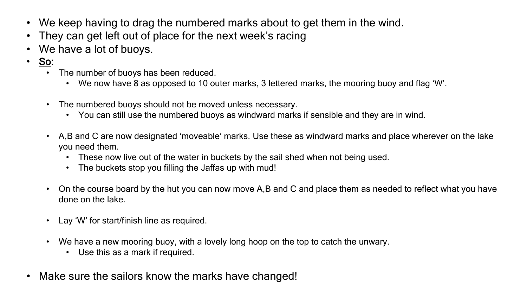- We keep having to drag the numbered marks about to get them in the wind.
- They can get left out of place for the next week's racing
- We have a lot of buoys.
- So:
	- The number of buoys has been reduced.
		- We now have 8 as opposed to 10 outer marks, 3 lettered marks, the mooring buoy and flag 'W'.
	- The numbered buoys should not be moved unless necessary.
		- You can still use the numbered buoys as windward marks if sensible and they are in wind.
	- A,B and C are now designated 'moveable' marks. Use these as windward marks and place wherever on the lake you need them.
		- These now live out of the water in buckets by the sail shed when not being used.
		- The buckets stop you filling the Jaffas up with mud!
	- On the course board by the hut you can now move A,B and C and place them as needed to reflect what you have done on the lake.
	- Lay 'W' for start/finish line as required.
	- We have a new mooring buoy, with a lovely long hoop on the top to catch the unwary.
		- Use this as a mark if required.
- Make sure the sailors know the marks have changed!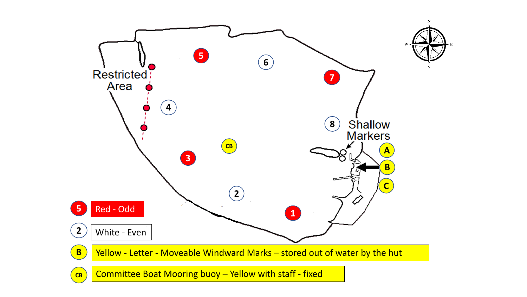